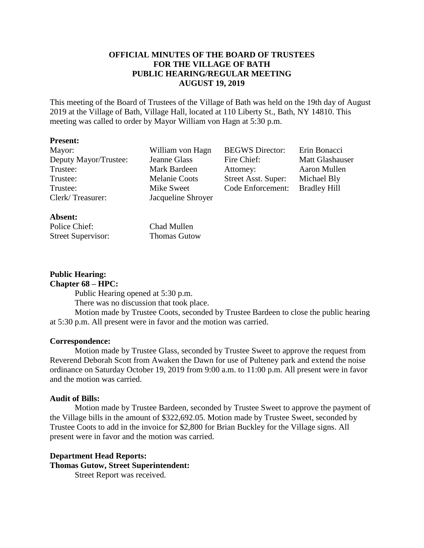### **OFFICIAL MINUTES OF THE BOARD OF TRUSTEES FOR THE VILLAGE OF BATH PUBLIC HEARING/REGULAR MEETING AUGUST 19, 2019**

This meeting of the Board of Trustees of the Village of Bath was held on the 19th day of August 2019 at the Village of Bath, Village Hall, located at 110 Liberty St., Bath, NY 14810. This meeting was called to order by Mayor William von Hagn at 5:30 p.m.

### **Present:**

| Mayor:                | William von Hagn     | <b>BEGWS</b> Director: | Erin Bonacci           |
|-----------------------|----------------------|------------------------|------------------------|
| Deputy Mayor/Trustee: | Jeanne Glass         | Fire Chief:            | <b>Matt Glashauser</b> |
| Trustee:              | Mark Bardeen         | Attorney:              | Aaron Mullen           |
| Trustee:              | <b>Melanie Coots</b> | Street Asst. Super:    | Michael Bly            |
| Trustee:              | Mike Sweet           | Code Enforcement:      | <b>Bradley Hill</b>    |
| Clerk/Treasurer:      | Jacqueline Shroyer   |                        |                        |
|                       |                      |                        |                        |

### **Absent:**

Police Chief: Chad Mullen Street Supervisor: Thomas Gutow

# **Public Hearing:**

**Chapter 68 – HPC:**

Public Hearing opened at 5:30 p.m.

There was no discussion that took place.

Motion made by Trustee Coots, seconded by Trustee Bardeen to close the public hearing at 5:30 p.m. All present were in favor and the motion was carried.

### **Correspondence:**

Motion made by Trustee Glass, seconded by Trustee Sweet to approve the request from Reverend Deborah Scott from Awaken the Dawn for use of Pulteney park and extend the noise ordinance on Saturday October 19, 2019 from 9:00 a.m. to 11:00 p.m. All present were in favor and the motion was carried.

### **Audit of Bills:**

Motion made by Trustee Bardeen, seconded by Trustee Sweet to approve the payment of the Village bills in the amount of \$322,692.05. Motion made by Trustee Sweet, seconded by Trustee Coots to add in the invoice for \$2,800 for Brian Buckley for the Village signs. All present were in favor and the motion was carried.

### **Department Head Reports:**

**Thomas Gutow, Street Superintendent:**

Street Report was received.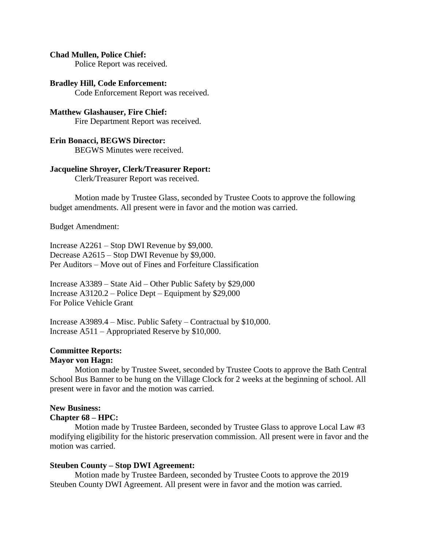### **Chad Mullen, Police Chief:**

Police Report was received.

### **Bradley Hill, Code Enforcement:**

Code Enforcement Report was received.

### **Matthew Glashauser, Fire Chief:** Fire Department Report was received.

# **Erin Bonacci, BEGWS Director:**

BEGWS Minutes were received.

### **Jacqueline Shroyer, Clerk/Treasurer Report:**

Clerk/Treasurer Report was received.

Motion made by Trustee Glass, seconded by Trustee Coots to approve the following budget amendments. All present were in favor and the motion was carried.

Budget Amendment:

Increase A2261 – Stop DWI Revenue by \$9,000. Decrease A2615 – Stop DWI Revenue by \$9,000. Per Auditors – Move out of Fines and Forfeiture Classification

Increase A3389 – State Aid – Other Public Safety by \$29,000 Increase A3120.2 – Police Dept – Equipment by \$29,000 For Police Vehicle Grant

Increase A3989.4 – Misc. Public Safety – Contractual by \$10,000. Increase A511 – Appropriated Reserve by \$10,000.

# **Committee Reports:**

## **Mayor von Hagn:**

Motion made by Trustee Sweet, seconded by Trustee Coots to approve the Bath Central School Bus Banner to be hung on the Village Clock for 2 weeks at the beginning of school. All present were in favor and the motion was carried.

# **New Business:**

### **Chapter 68 – HPC:**

Motion made by Trustee Bardeen, seconded by Trustee Glass to approve Local Law #3 modifying eligibility for the historic preservation commission. All present were in favor and the motion was carried.

### **Steuben County – Stop DWI Agreement:**

Motion made by Trustee Bardeen, seconded by Trustee Coots to approve the 2019 Steuben County DWI Agreement. All present were in favor and the motion was carried.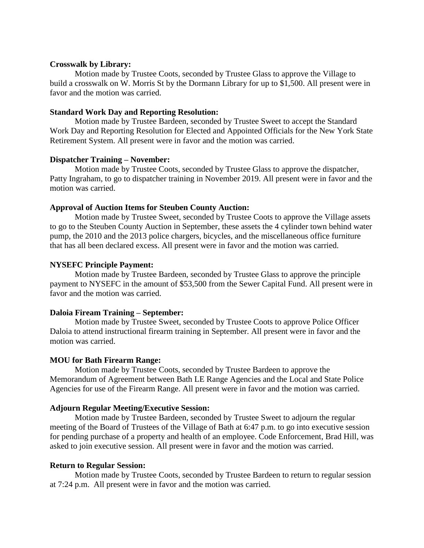### **Crosswalk by Library:**

Motion made by Trustee Coots, seconded by Trustee Glass to approve the Village to build a crosswalk on W. Morris St by the Dormann Library for up to \$1,500. All present were in favor and the motion was carried.

### **Standard Work Day and Reporting Resolution:**

Motion made by Trustee Bardeen, seconded by Trustee Sweet to accept the Standard Work Day and Reporting Resolution for Elected and Appointed Officials for the New York State Retirement System. All present were in favor and the motion was carried.

### **Dispatcher Training – November:**

Motion made by Trustee Coots, seconded by Trustee Glass to approve the dispatcher, Patty Ingraham, to go to dispatcher training in November 2019. All present were in favor and the motion was carried.

### **Approval of Auction Items for Steuben County Auction:**

Motion made by Trustee Sweet, seconded by Trustee Coots to approve the Village assets to go to the Steuben County Auction in September, these assets the 4 cylinder town behind water pump, the 2010 and the 2013 police chargers, bicycles, and the miscellaneous office furniture that has all been declared excess. All present were in favor and the motion was carried.

### **NYSEFC Principle Payment:**

Motion made by Trustee Bardeen, seconded by Trustee Glass to approve the principle payment to NYSEFC in the amount of \$53,500 from the Sewer Capital Fund. All present were in favor and the motion was carried.

### **Daloia Fiream Training – September:**

Motion made by Trustee Sweet, seconded by Trustee Coots to approve Police Officer Daloia to attend instructional firearm training in September. All present were in favor and the motion was carried.

#### **MOU for Bath Firearm Range:**

Motion made by Trustee Coots, seconded by Trustee Bardeen to approve the Memorandum of Agreement between Bath LE Range Agencies and the Local and State Police Agencies for use of the Firearm Range. All present were in favor and the motion was carried.

### **Adjourn Regular Meeting/Executive Session:**

Motion made by Trustee Bardeen, seconded by Trustee Sweet to adjourn the regular meeting of the Board of Trustees of the Village of Bath at 6:47 p.m. to go into executive session for pending purchase of a property and health of an employee. Code Enforcement, Brad Hill, was asked to join executive session. All present were in favor and the motion was carried.

### **Return to Regular Session:**

Motion made by Trustee Coots, seconded by Trustee Bardeen to return to regular session at 7:24 p.m. All present were in favor and the motion was carried.